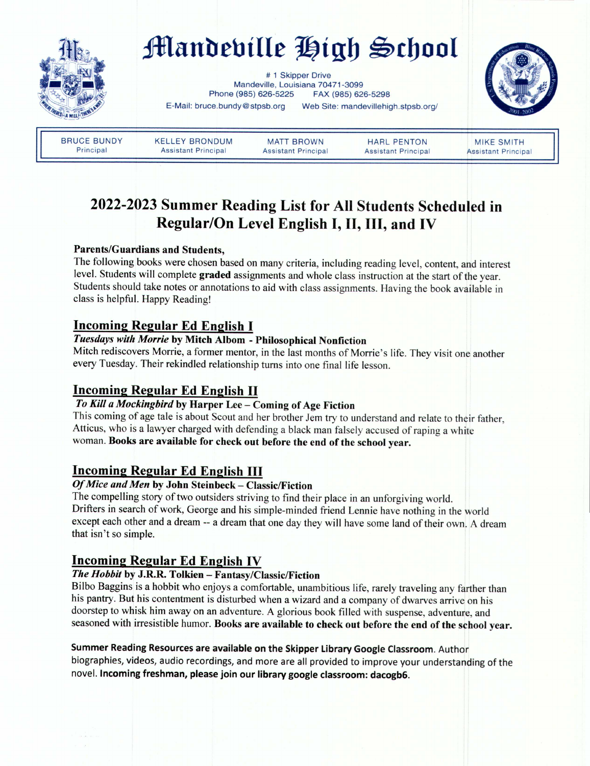

# **Mandebille** High School

# 1 Skipper Drive Mandeville, Louisiana 70471-3099 Phone (985) 626-5225 FAX (985) 626-5298 E-Mail: bruce.bundy@stpsb.org Web Site: mandevillehigh.stpsb.org/



BRUCE BUNDY Principal

KELLEY BRONDUM Assistant Principal

MATT BROWN Assistant Principal

HARL PENTON Assistant Principal

MIKE SMITH Assistant Principal

# 2022-2023 Summer Reading List for All Students Scheduled in Regular/On Level English I, II, III, and IV

## Parents/Guardians and Students,

The following books were chosen based on many criteria, including reading level, content, and interest level. Students will complete graded assignments and whole class instruction at the start of the year. Students should take notes or annotations to aid with class assignments. Having the book available in class is helpful. Happy Reading!

# Incoming Regular Ed English I

# *Tuesdays with Morrie* by Mitch Alborn - Philosophical Nonfiction

Mitch rediscovers Morrie, a former mentor, in the last months of Morrie's life. They visit one another every Tuesday. Their rekindled relationship turns into one final life lesson.

# Incoming Regular Ed English II

# *To Kill a Mockingbird* by Harper Lee - Coming of Age Fiction

This coming of age tale is about Scout and her brother Jem try to understand and relate to their father, Atticus, who is a lawyer charged with defending a black man falsely accused of raping a white woman.Books are available for check out before the end of the school year.

# Incoming Regular Ed English III

# *Of Mice and Men* by John Steinbeck - Classic/Fiction

The compelling story of two outsiders striving to find their place in an unforgiving world. Drifters in search of work, George and his simple-minded friend Lennie have nothing in the world except each other and a dream -- a dream that one day they will have some land of their own. A dream that isn't so simple.

# Incoming Regular Ed English IV

# *The Hobbit* by J.R.R. Tolkien - Fantasy/Classic/Fiction

Bilbo Baggins is a hobbit who enjoys a comfortable, unambitious life, rarely traveling any farther than his pantry. But his contentment is disturbed when a wizard and a company of dwarves arrive on his doorstep to whisk him away on an adventure. A glorious book filled with suspense, adventure, and seasoned with irresistible humor. Books are available to check out before the end of the school year.

# Summer Reading Resources are available on the Skipper Library Google Classroom. Author

biographies, videos, audio recordings, and more are all provided to improve your understanding of the novel. Incoming freshman, please join our library google classroom: dacogb6.